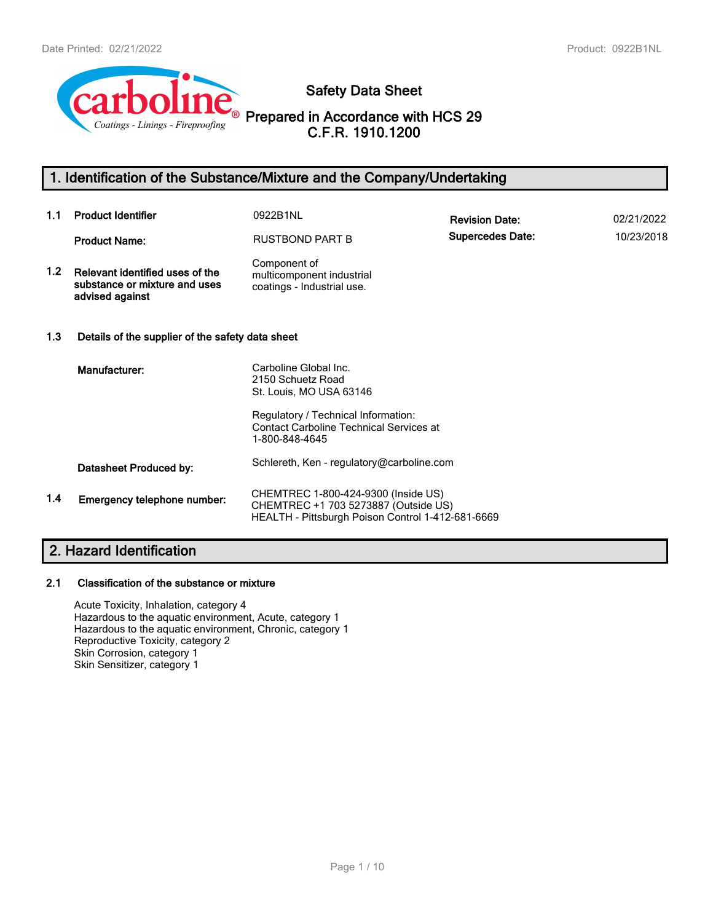

**Safety Data Sheet**

**Prepared in Accordance with HCS 29 C.F.R. 1910.1200**

# **1. Identification of the Substance/Mixture and the Company/Undertaking**

| 1.1              | <b>Product Identifier</b>                                                           | 0922B1NL                                                                                                                         | <b>Revision Date:</b>   | 02/21/2022 |
|------------------|-------------------------------------------------------------------------------------|----------------------------------------------------------------------------------------------------------------------------------|-------------------------|------------|
|                  | <b>Product Name:</b>                                                                | <b>RUSTBOND PART B</b>                                                                                                           | <b>Supercedes Date:</b> | 10/23/2018 |
| 1.2 <sub>1</sub> | Relevant identified uses of the<br>substance or mixture and uses<br>advised against | Component of<br>multicomponent industrial<br>coatings - Industrial use.                                                          |                         |            |
| 1.3              | Details of the supplier of the safety data sheet                                    |                                                                                                                                  |                         |            |
|                  | Manufacturer:                                                                       | Carboline Global Inc.<br>2150 Schuetz Road<br>St. Louis, MO USA 63146                                                            |                         |            |
|                  |                                                                                     | Regulatory / Technical Information:<br><b>Contact Carboline Technical Services at</b><br>1-800-848-4645                          |                         |            |
|                  | Datasheet Produced by:                                                              | Schlereth, Ken - regulatory@carboline.com                                                                                        |                         |            |
| 1.4              | Emergency telephone number:                                                         | CHEMTREC 1-800-424-9300 (Inside US)<br>CHEMTREC +1 703 5273887 (Outside US)<br>HEALTH - Pittsburgh Poison Control 1-412-681-6669 |                         |            |

# **2. Hazard Identification**

### **2.1 Classification of the substance or mixture**

Acute Toxicity, Inhalation, category 4 Hazardous to the aquatic environment, Acute, category 1 Hazardous to the aquatic environment, Chronic, category 1 Reproductive Toxicity, category 2 Skin Corrosion, category 1 Skin Sensitizer, category 1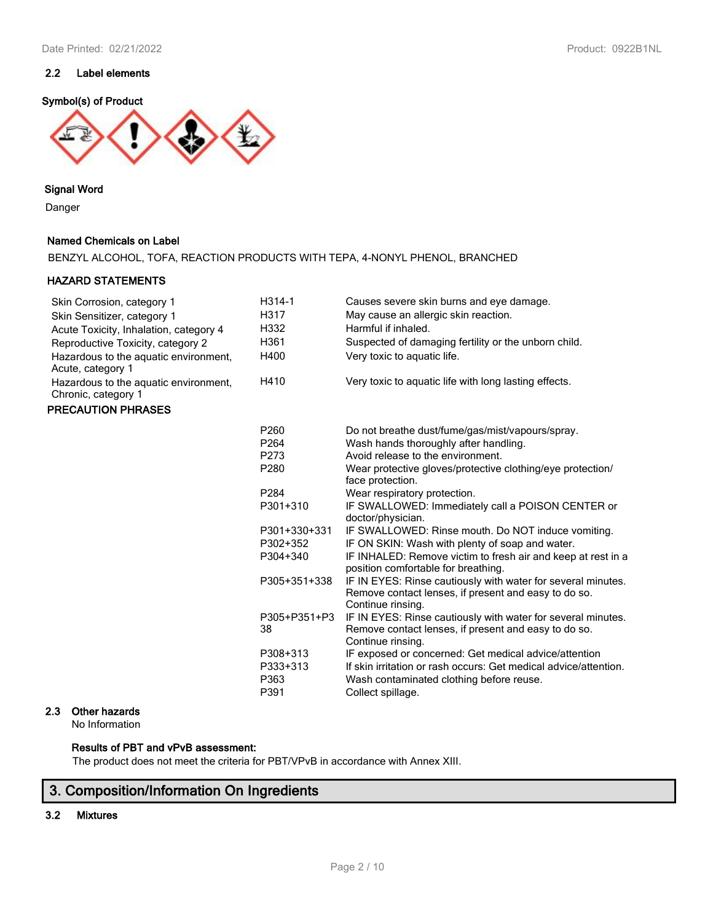### **2.2 Label elements**

### **Symbol(s) of Product**



### **Signal Word**

Danger

### **Named Chemicals on Label**

BENZYL ALCOHOL, TOFA, REACTION PRODUCTS WITH TEPA, 4-NONYL PHENOL, BRANCHED

### **HAZARD STATEMENTS**

| Skin Corrosion, category 1                                   | H314-1                               | Causes severe skin burns and eye damage.                                                                                                                                                   |
|--------------------------------------------------------------|--------------------------------------|--------------------------------------------------------------------------------------------------------------------------------------------------------------------------------------------|
| Skin Sensitizer, category 1                                  | H317                                 | May cause an allergic skin reaction.                                                                                                                                                       |
| Acute Toxicity, Inhalation, category 4                       | H332                                 | Harmful if inhaled.                                                                                                                                                                        |
| Reproductive Toxicity, category 2                            | H361                                 | Suspected of damaging fertility or the unborn child.                                                                                                                                       |
| Hazardous to the aquatic environment,<br>Acute, category 1   | H400                                 | Very toxic to aquatic life.                                                                                                                                                                |
| Hazardous to the aquatic environment,<br>Chronic, category 1 | H410                                 | Very toxic to aquatic life with long lasting effects.                                                                                                                                      |
| <b>PRECAUTION PHRASES</b>                                    |                                      |                                                                                                                                                                                            |
|                                                              | P260                                 | Do not breathe dust/fume/gas/mist/vapours/spray.                                                                                                                                           |
|                                                              | P <sub>264</sub>                     | Wash hands thoroughly after handling.                                                                                                                                                      |
|                                                              | P273                                 | Avoid release to the environment.                                                                                                                                                          |
|                                                              | P280                                 | Wear protective gloves/protective clothing/eye protection/<br>face protection.                                                                                                             |
|                                                              | P <sub>284</sub>                     | Wear respiratory protection.                                                                                                                                                               |
|                                                              | P301+310                             | IF SWALLOWED: Immediately call a POISON CENTER or<br>doctor/physician.                                                                                                                     |
|                                                              | P301+330+331                         | IF SWALLOWED: Rinse mouth. Do NOT induce vomiting.                                                                                                                                         |
|                                                              | P302+352                             | IF ON SKIN: Wash with plenty of soap and water.                                                                                                                                            |
|                                                              | P304+340                             | IF INHALED: Remove victim to fresh air and keep at rest in a<br>position comfortable for breathing.                                                                                        |
|                                                              | P305+351+338                         | IF IN EYES: Rinse cautiously with water for several minutes.<br>Remove contact lenses, if present and easy to do so.<br>Continue rinsing.                                                  |
|                                                              | P305+P351+P3<br>38                   | IF IN EYES: Rinse cautiously with water for several minutes.<br>Remove contact lenses, if present and easy to do so.<br>Continue rinsing.                                                  |
|                                                              | P308+313<br>P333+313<br>P363<br>P391 | IF exposed or concerned: Get medical advice/attention<br>If skin irritation or rash occurs: Get medical advice/attention.<br>Wash contaminated clothing before reuse.<br>Collect spillage. |
|                                                              |                                      |                                                                                                                                                                                            |

## **2.3 Other hazards**

No Information

### **Results of PBT and vPvB assessment:**

The product does not meet the criteria for PBT/VPvB in accordance with Annex XIII.

# **3. Composition/Information On Ingredients**

### **3.2 Mixtures**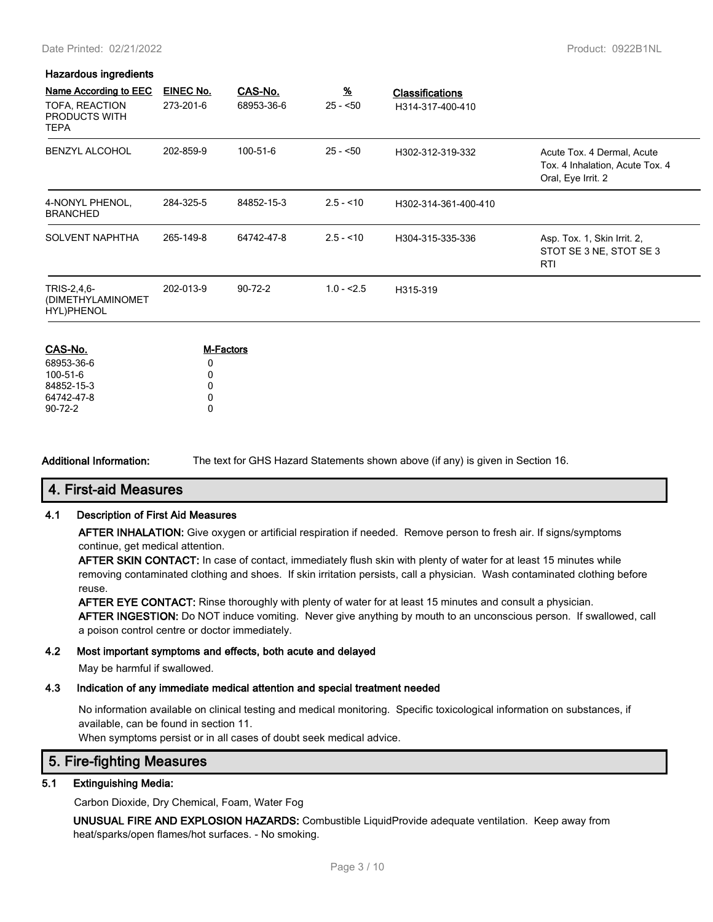#### Date Printed: 02/21/2022 Product: 0922B1NL

### **Hazardous ingredients**

| Name According to EEC<br>TOFA, REACTION<br>PRODUCTS WITH<br><b>TEPA</b> | EINEC No.<br>273-201-6 | CAS-No.<br>68953-36-6 | $\frac{96}{2}$<br>$25 - 50$ | <b>Classifications</b><br>H314-317-400-410 |                                                                                     |
|-------------------------------------------------------------------------|------------------------|-----------------------|-----------------------------|--------------------------------------------|-------------------------------------------------------------------------------------|
| <b>BENZYL ALCOHOL</b>                                                   | 202-859-9              | 100-51-6              | $25 - 50$                   | H302-312-319-332                           | Acute Tox. 4 Dermal, Acute<br>Tox. 4 Inhalation, Acute Tox. 4<br>Oral, Eye Irrit. 2 |
| 4-NONYL PHENOL,<br><b>BRANCHED</b>                                      | 284-325-5              | 84852-15-3            | $2.5 - 10$                  | H302-314-361-400-410                       |                                                                                     |
| <b>SOLVENT NAPHTHA</b>                                                  | 265-149-8              | 64742-47-8            | $2.5 - 10$                  | H304-315-335-336                           | Asp. Tox. 1, Skin Irrit. 2,<br>STOT SE 3 NE, STOT SE 3<br><b>RTI</b>                |
| TRIS-2,4,6-<br>(DIMETHYLAMINOMET<br>HYL) PHENOL                         | 202-013-9              | $90 - 72 - 2$         | $1.0 - 2.5$                 | H315-319                                   |                                                                                     |

| CAS-No.       | <b>M-Factors</b> |
|---------------|------------------|
| 68953-36-6    | O                |
| 100-51-6      | 0                |
| 84852-15-3    | 0                |
| 64742-47-8    | 0                |
| $90 - 72 - 2$ | O                |

**Additional Information:** The text for GHS Hazard Statements shown above (if any) is given in Section 16.

### **4. First-aid Measures**

### **4.1 Description of First Aid Measures**

**AFTER INHALATION:** Give oxygen or artificial respiration if needed. Remove person to fresh air. If signs/symptoms continue, get medical attention.

**AFTER SKIN CONTACT:** In case of contact, immediately flush skin with plenty of water for at least 15 minutes while removing contaminated clothing and shoes. If skin irritation persists, call a physician. Wash contaminated clothing before reuse.

**AFTER EYE CONTACT:** Rinse thoroughly with plenty of water for at least 15 minutes and consult a physician. **AFTER INGESTION:** Do NOT induce vomiting. Never give anything by mouth to an unconscious person. If swallowed, call a poison control centre or doctor immediately.

### **4.2 Most important symptoms and effects, both acute and delayed**

May be harmful if swallowed.

### **4.3 Indication of any immediate medical attention and special treatment needed**

No information available on clinical testing and medical monitoring. Specific toxicological information on substances, if available, can be found in section 11.

When symptoms persist or in all cases of doubt seek medical advice.

## **5. Fire-fighting Measures**

### **5.1 Extinguishing Media:**

Carbon Dioxide, Dry Chemical, Foam, Water Fog

**UNUSUAL FIRE AND EXPLOSION HAZARDS:** Combustible LiquidProvide adequate ventilation. Keep away from heat/sparks/open flames/hot surfaces. - No smoking.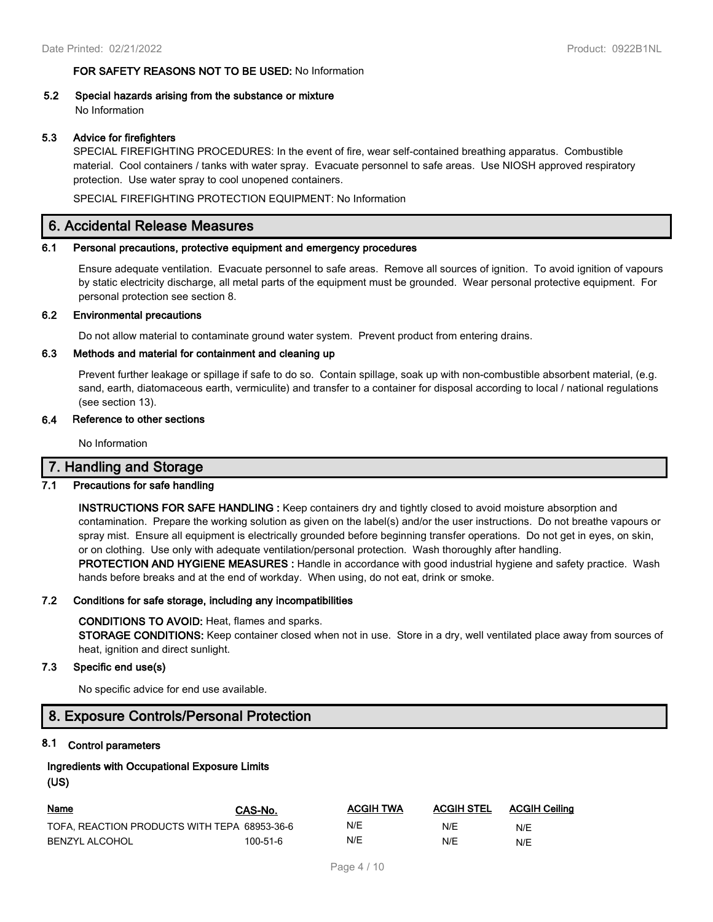### **FOR SAFETY REASONS NOT TO BE USED:** No Information

# **5.2 Special hazards arising from the substance or mixture**

No Information

### **5.3 Advice for firefighters**

SPECIAL FIREFIGHTING PROCEDURES: In the event of fire, wear self-contained breathing apparatus. Combustible material. Cool containers / tanks with water spray. Evacuate personnel to safe areas. Use NIOSH approved respiratory protection. Use water spray to cool unopened containers.

SPECIAL FIREFIGHTING PROTECTION EQUIPMENT: No Information

### **6. Accidental Release Measures**

#### **6.1 Personal precautions, protective equipment and emergency procedures**

Ensure adequate ventilation. Evacuate personnel to safe areas. Remove all sources of ignition. To avoid ignition of vapours by static electricity discharge, all metal parts of the equipment must be grounded. Wear personal protective equipment. For personal protection see section 8.

#### **6.2 Environmental precautions**

Do not allow material to contaminate ground water system. Prevent product from entering drains.

### **6.3 Methods and material for containment and cleaning up**

Prevent further leakage or spillage if safe to do so. Contain spillage, soak up with non-combustible absorbent material, (e.g. sand, earth, diatomaceous earth, vermiculite) and transfer to a container for disposal according to local / national regulations (see section 13).

### **6.4 Reference to other sections**

No Information

### **7. Handling and Storage**

### **7.1 Precautions for safe handling**

**INSTRUCTIONS FOR SAFE HANDLING :** Keep containers dry and tightly closed to avoid moisture absorption and contamination. Prepare the working solution as given on the label(s) and/or the user instructions. Do not breathe vapours or spray mist. Ensure all equipment is electrically grounded before beginning transfer operations. Do not get in eyes, on skin, or on clothing. Use only with adequate ventilation/personal protection. Wash thoroughly after handling.

**PROTECTION AND HYGIENE MEASURES :** Handle in accordance with good industrial hygiene and safety practice. Wash hands before breaks and at the end of workday. When using, do not eat, drink or smoke.

#### **7.2 Conditions for safe storage, including any incompatibilities**

#### **CONDITIONS TO AVOID:** Heat, flames and sparks.

**STORAGE CONDITIONS:** Keep container closed when not in use. Store in a dry, well ventilated place away from sources of heat, ignition and direct sunlight.

### **7.3 Specific end use(s)**

No specific advice for end use available.

## **8. Exposure Controls/Personal Protection**

### **8.1 Control parameters**

### **Ingredients with Occupational Exposure Limits (US)**

| <u>Name</u>                                  | CAS-No.  | ACGIH TWA | <b>ACGIH STEL</b> | ACGIH Ceiling |
|----------------------------------------------|----------|-----------|-------------------|---------------|
| TOFA. REACTION PRODUCTS WITH TEPA 68953-36-6 |          | N/E       | N/E               | N/E           |
| BENZYL ALCOHOL                               | 100-51-6 | N/E       | N/F               | N/E           |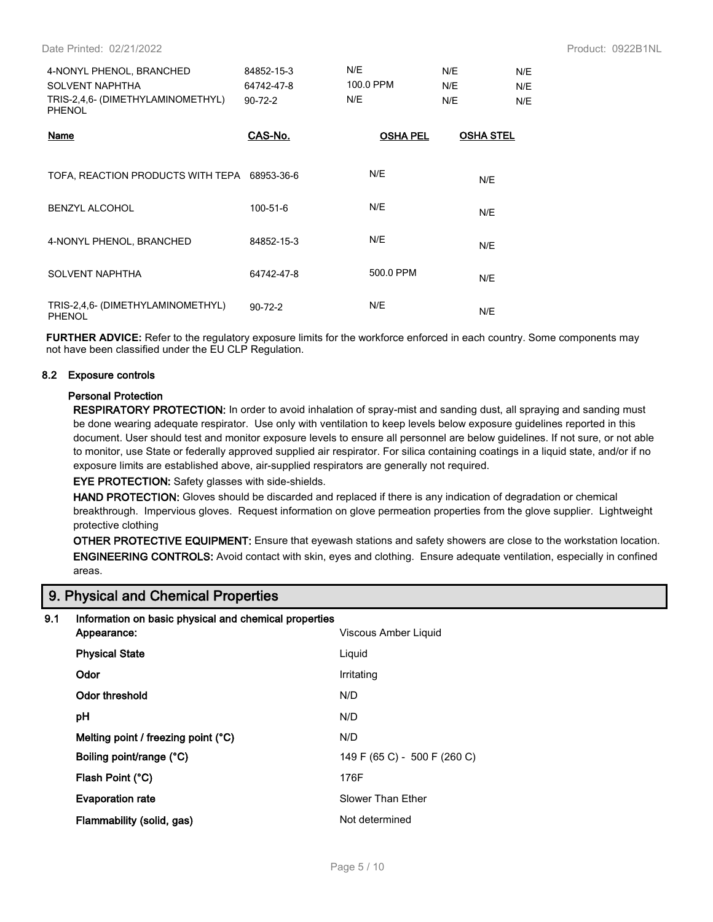| 4-NONYL PHENOL, BRANCHED<br>SOLVENT NAPHTHA<br>TRIS-2.4.6- (DIMETHYLAMINOMETHYL)<br>PHENOL | 84852-15-3<br>64742-47-8<br>$90 - 72 - 2$ | N/E<br>100.0 PPM<br>N/E | N/E<br>N/E<br>N/E | N/E<br>N/E<br>N/E |
|--------------------------------------------------------------------------------------------|-------------------------------------------|-------------------------|-------------------|-------------------|
| Name                                                                                       | CAS-No.                                   | <b>OSHA PEL</b>         | <b>OSHA STEL</b>  |                   |

| TOFA, REACTION PRODUCTS WITH TEPA 68953-36-6 |               | N/E       | N/E |
|----------------------------------------------|---------------|-----------|-----|
| <b>BENZYL ALCOHOL</b>                        | 100-51-6      | N/E       | N/E |
| 4-NONYL PHENOL, BRANCHED                     | 84852-15-3    | N/E       | N/E |
| <b>SOLVENT NAPHTHA</b>                       | 64742-47-8    | 500.0 PPM | N/E |
| TRIS-2,4,6- (DIMETHYLAMINOMETHYL)<br>PHENOL  | $90 - 72 - 2$ | N/E       | N/E |

**FURTHER ADVICE:** Refer to the regulatory exposure limits for the workforce enforced in each country. Some components may not have been classified under the EU CLP Regulation.

### **8.2 Exposure controls**

#### **Personal Protection**

**RESPIRATORY PROTECTION:** In order to avoid inhalation of spray-mist and sanding dust, all spraying and sanding must be done wearing adequate respirator. Use only with ventilation to keep levels below exposure guidelines reported in this document. User should test and monitor exposure levels to ensure all personnel are below guidelines. If not sure, or not able to monitor, use State or federally approved supplied air respirator. For silica containing coatings in a liquid state, and/or if no exposure limits are established above, air-supplied respirators are generally not required.

**EYE PROTECTION:** Safety glasses with side-shields.

**HAND PROTECTION:** Gloves should be discarded and replaced if there is any indication of degradation or chemical breakthrough. Impervious gloves. Request information on glove permeation properties from the glove supplier. Lightweight protective clothing

**OTHER PROTECTIVE EQUIPMENT:** Ensure that eyewash stations and safety showers are close to the workstation location. **ENGINEERING CONTROLS:** Avoid contact with skin, eyes and clothing. Ensure adequate ventilation, especially in confined areas.

## **9. Physical and Chemical Properties**

### **9.1 Information on basic physical and chemical properties**

| Viscous Amber Liquid         |
|------------------------------|
| Liquid                       |
| Irritating                   |
| N/D                          |
| N/D                          |
| N/D                          |
| 149 F (65 C) - 500 F (260 C) |
| 176F                         |
| Slower Than Ether            |
| Not determined               |
|                              |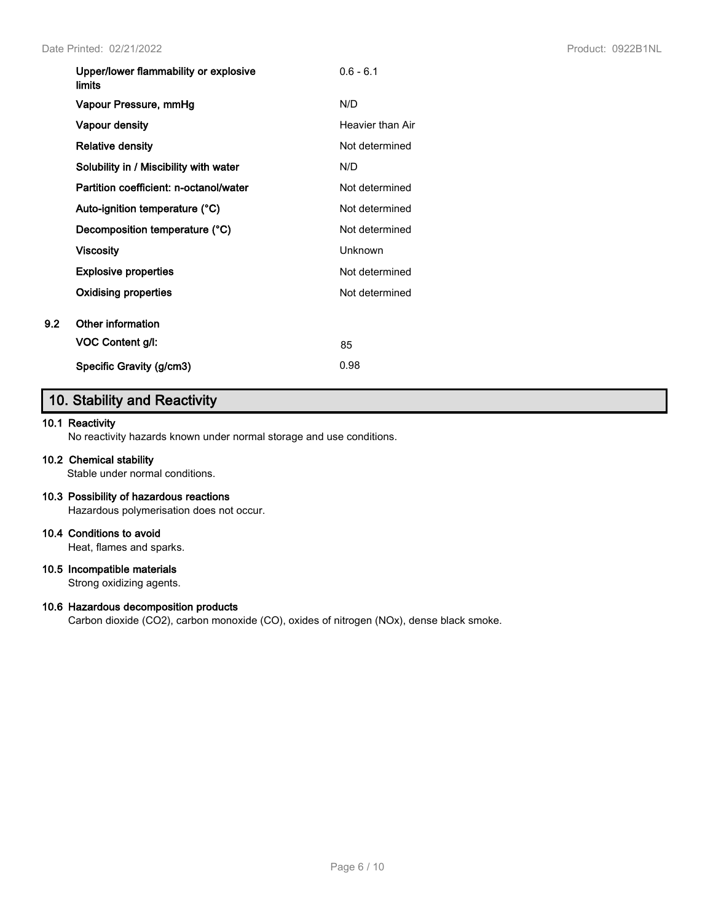|     | Upper/lower flammability or explosive<br><b>limits</b> | $0.6 - 6.1$      |
|-----|--------------------------------------------------------|------------------|
|     | Vapour Pressure, mmHg                                  | N/D              |
|     | Vapour density                                         | Heavier than Air |
|     | <b>Relative density</b>                                | Not determined   |
|     | Solubility in / Miscibility with water                 | N/D              |
|     | Partition coefficient: n-octanol/water                 | Not determined   |
|     | Auto-ignition temperature (°C)                         | Not determined   |
|     | Decomposition temperature (°C)                         | Not determined   |
|     | <b>Viscosity</b>                                       | <b>Unknown</b>   |
|     | <b>Explosive properties</b>                            | Not determined   |
|     | <b>Oxidising properties</b>                            | Not determined   |
| 9.2 | Other information                                      |                  |
|     | <b>VOC Content g/l:</b>                                | 85               |
|     | Specific Gravity (g/cm3)                               | 0.98             |

# **10. Stability and Reactivity**

### **10.1 Reactivity**

No reactivity hazards known under normal storage and use conditions.

### **10.2 Chemical stability**

Stable under normal conditions.

### **10.3 Possibility of hazardous reactions**

Hazardous polymerisation does not occur.

### **10.4 Conditions to avoid**

Heat, flames and sparks.

### **10.5 Incompatible materials**

Strong oxidizing agents.

### **10.6 Hazardous decomposition products**

Carbon dioxide (CO2), carbon monoxide (CO), oxides of nitrogen (NOx), dense black smoke.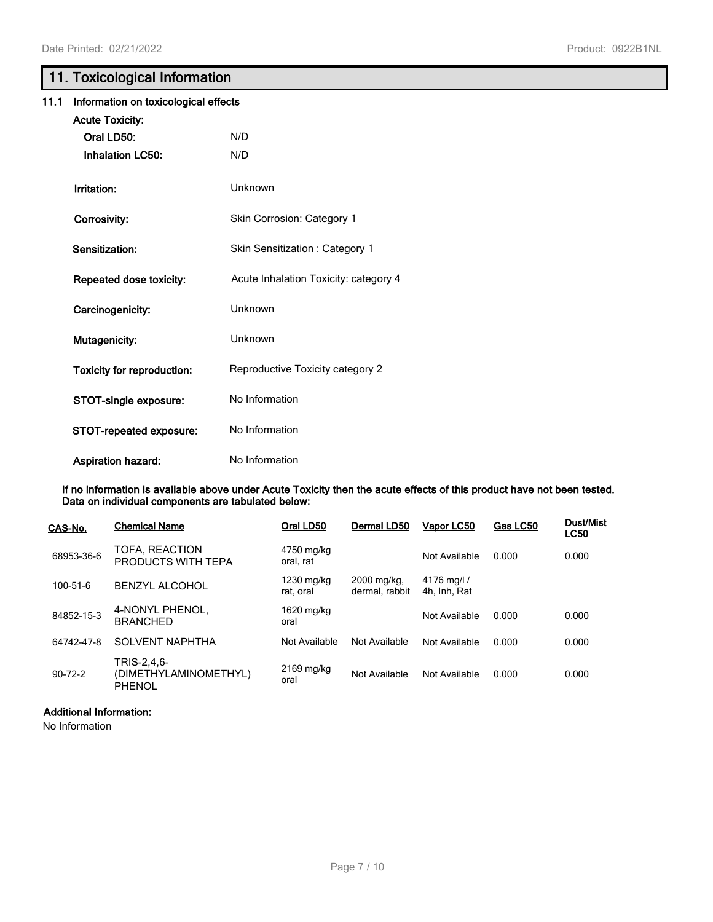# **11. Toxicological Information**

| 11.1 | Information on toxicological effects |                                       |  |  |  |
|------|--------------------------------------|---------------------------------------|--|--|--|
|      | <b>Acute Toxicity:</b>               |                                       |  |  |  |
|      | Oral LD50:                           | N/D                                   |  |  |  |
|      | <b>Inhalation LC50:</b>              | N/D                                   |  |  |  |
|      | Irritation:                          | Unknown                               |  |  |  |
|      | Corrosivity:                         | Skin Corrosion: Category 1            |  |  |  |
|      | Sensitization:                       | Skin Sensitization: Category 1        |  |  |  |
|      | Repeated dose toxicity:              | Acute Inhalation Toxicity: category 4 |  |  |  |
|      | Carcinogenicity:                     | Unknown                               |  |  |  |
|      | Mutagenicity:                        | Unknown                               |  |  |  |
|      | <b>Toxicity for reproduction:</b>    | Reproductive Toxicity category 2      |  |  |  |
|      | STOT-single exposure:                | No Information                        |  |  |  |
|      | STOT-repeated exposure:              | No Information                        |  |  |  |
|      | <b>Aspiration hazard:</b>            | No Information                        |  |  |  |

**If no information is available above under Acute Toxicity then the acute effects of this product have not been tested. Data on individual components are tabulated below:**

| CAS-No.       | <b>Chemical Name</b>                                  | Oral LD50               | Dermal LD50                   | Vapor LC50                  | Gas LC50 | <b>Dust/Mist</b><br><b>LC50</b> |
|---------------|-------------------------------------------------------|-------------------------|-------------------------------|-----------------------------|----------|---------------------------------|
| 68953-36-6    | TOFA, REACTION<br>PRODUCTS WITH TEPA                  | 4750 mg/kg<br>oral, rat |                               | Not Available               | 0.000    | 0.000                           |
| 100-51-6      | <b>BENZYL ALCOHOL</b>                                 | 1230 mg/kg<br>rat, oral | 2000 mg/kg.<br>dermal, rabbit | 4176 mg/l /<br>4h. Inh. Rat |          |                                 |
| 84852-15-3    | 4-NONYL PHENOL,<br><b>BRANCHED</b>                    | 1620 mg/kg<br>oral      |                               | Not Available               | 0.000    | 0.000                           |
| 64742-47-8    | <b>SOLVENT NAPHTHA</b>                                | Not Available           | Not Available                 | Not Available               | 0.000    | 0.000                           |
| $90 - 72 - 2$ | TRIS-2,4,6-<br>(DIMETHYLAMINOMETHYL)<br><b>PHENOL</b> | 2169 mg/kg<br>oral      | Not Available                 | Not Available               | 0.000    | 0.000                           |

### **Additional Information:**

No Information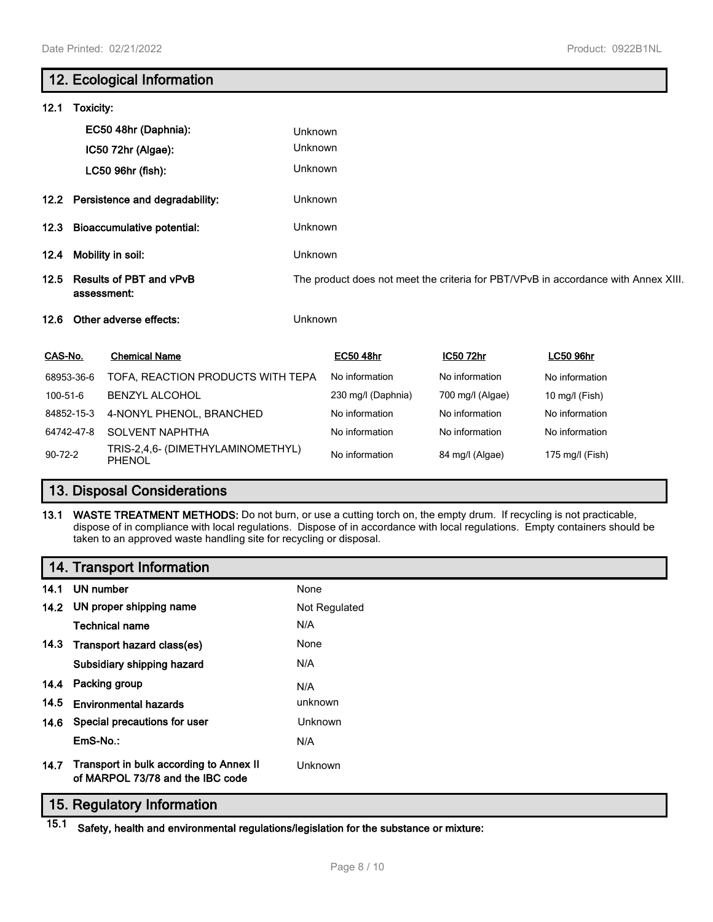|               |                                               | 12. Ecological Information                         |                                                                                    |                    |                  |                  |  |
|---------------|-----------------------------------------------|----------------------------------------------------|------------------------------------------------------------------------------------|--------------------|------------------|------------------|--|
| 12.1          | Toxicity:                                     |                                                    |                                                                                    |                    |                  |                  |  |
|               |                                               | EC50 48hr (Daphnia):                               | Unknown                                                                            |                    |                  |                  |  |
|               |                                               | IC50 72hr (Algae):                                 | Unknown                                                                            |                    |                  |                  |  |
|               |                                               | LC50 96hr (fish):                                  | Unknown                                                                            |                    |                  |                  |  |
| 12.2          |                                               | Persistence and degradability:                     | Unknown                                                                            |                    |                  |                  |  |
| 12.3          |                                               | <b>Bioaccumulative potential:</b>                  | Unknown                                                                            |                    |                  |                  |  |
| 12.4          | Mobility in soil:                             |                                                    | Unknown                                                                            |                    |                  |                  |  |
| 12.5          | <b>Results of PBT and vPvB</b><br>assessment: |                                                    | The product does not meet the criteria for PBT/VPvB in accordance with Annex XIII. |                    |                  |                  |  |
| 12.6          |                                               | Other adverse effects:                             | Unknown                                                                            |                    |                  |                  |  |
| CAS-No.       |                                               | <b>Chemical Name</b>                               |                                                                                    | <b>EC50 48hr</b>   | IC50 72hr        | <b>LC50 96hr</b> |  |
|               | 68953-36-6                                    | TOFA, REACTION PRODUCTS WITH TEPA                  |                                                                                    | No information     | No information   | No information   |  |
| 100-51-6      |                                               | <b>BENZYL ALCOHOL</b>                              |                                                                                    | 230 mg/l (Daphnia) | 700 mg/l (Algae) | 10 mg/l (Fish)   |  |
|               | 84852-15-3                                    | 4-NONYL PHENOL, BRANCHED                           |                                                                                    | No information     | No information   | No information   |  |
|               | 64742-47-8                                    | <b>SOLVENT NAPHTHA</b>                             |                                                                                    | No information     | No information   | No information   |  |
| $90 - 72 - 2$ |                                               | TRIS-2,4,6- (DIMETHYLAMINOMETHYL)<br><b>PHENOL</b> |                                                                                    | No information     | 84 mg/l (Algae)  | 175 mg/l (Fish)  |  |

# **13. Disposal Considerations**

**13.1 WASTE TREATMENT METHODS:** Do not burn, or use a cutting torch on, the empty drum. If recycling is not practicable, dispose of in compliance with local regulations. Dispose of in accordance with local regulations. Empty containers should be taken to an approved waste handling site for recycling or disposal.

|      | 14. Transport Information                                                   |                |
|------|-----------------------------------------------------------------------------|----------------|
| 14.1 | UN number                                                                   | None           |
|      | 14.2 UN proper shipping name                                                | Not Regulated  |
|      | <b>Technical name</b>                                                       | N/A            |
|      | 14.3 Transport hazard class(es)                                             | None           |
|      | Subsidiary shipping hazard                                                  | N/A            |
|      | 14.4 Packing group                                                          | N/A            |
| 14.5 | <b>Environmental hazards</b>                                                | unknown        |
| 14.6 | Special precautions for user                                                | <b>Unknown</b> |
|      | EmS-No.:                                                                    | N/A            |
| 14.7 | Transport in bulk according to Annex II<br>of MARPOL 73/78 and the IBC code | Unknown        |

### **15. Regulatory Information**

**15.1 Safety, health and environmental regulations/legislation for the substance or mixture:**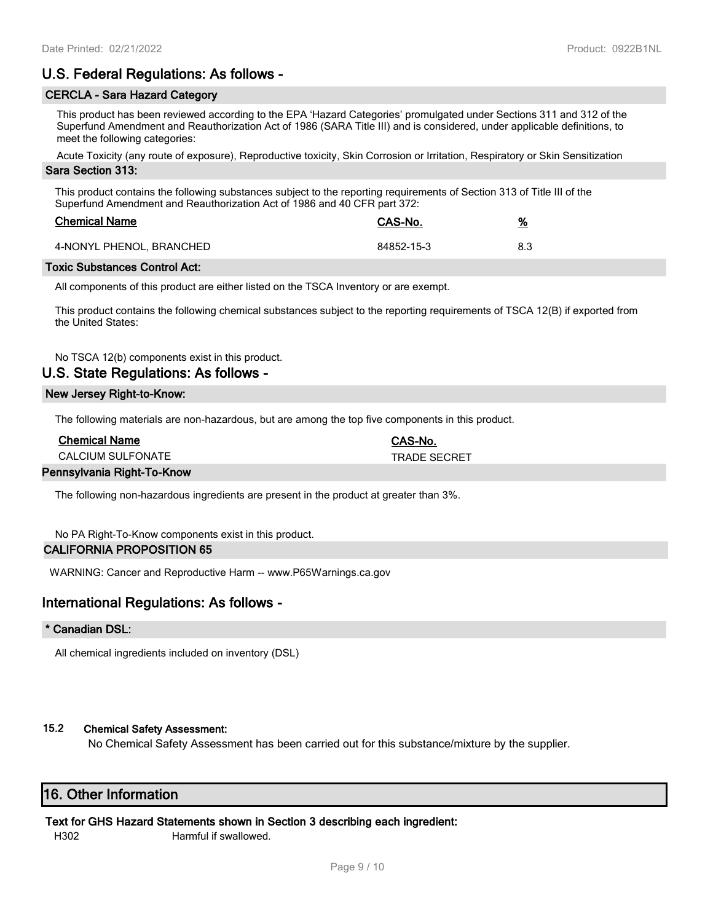## **U.S. Federal Regulations: As follows -**

### **CERCLA - Sara Hazard Category**

This product has been reviewed according to the EPA 'Hazard Categories' promulgated under Sections 311 and 312 of the Superfund Amendment and Reauthorization Act of 1986 (SARA Title III) and is considered, under applicable definitions, to meet the following categories:

Acute Toxicity (any route of exposure), Reproductive toxicity, Skin Corrosion or Irritation, Respiratory or Skin Sensitization

### **Sara Section 313:**

This product contains the following substances subject to the reporting requirements of Section 313 of Title III of the Superfund Amendment and Reauthorization Act of 1986 and 40 CFR part 372:

| <b>Chemical Name</b>     | CAS-No.    | <u>%</u> |
|--------------------------|------------|----------|
| 4-NONYL PHENOL, BRANCHED | 84852-15-3 | 8.3      |

#### **Toxic Substances Control Act:**

All components of this product are either listed on the TSCA Inventory or are exempt.

This product contains the following chemical substances subject to the reporting requirements of TSCA 12(B) if exported from the United States:

No TSCA 12(b) components exist in this product.

## **U.S. State Regulations: As follows -**

#### **New Jersey Right-to-Know:**

The following materials are non-hazardous, but are among the top five components in this product.

| <b>Chemical Name</b>     | CAS-No.             |
|--------------------------|---------------------|
| <b>CALCIUM SULFONATE</b> | <b>TRADE SECRET</b> |
|                          |                     |

### **Pennsylvania Right-To-Know**

The following non-hazardous ingredients are present in the product at greater than 3%.

No PA Right-To-Know components exist in this product.

### **CALIFORNIA PROPOSITION 65**

WARNING: Cancer and Reproductive Harm -- www.P65Warnings.ca.gov

## **International Regulations: As follows -**

### **\* Canadian DSL:**

All chemical ingredients included on inventory (DSL)

### **15.2 Chemical Safety Assessment:**

No Chemical Safety Assessment has been carried out for this substance/mixture by the supplier.

## **16. Other Information**

### **Text for GHS Hazard Statements shown in Section 3 describing each ingredient:**

H302 Harmful if swallowed.

Page 9 / 10